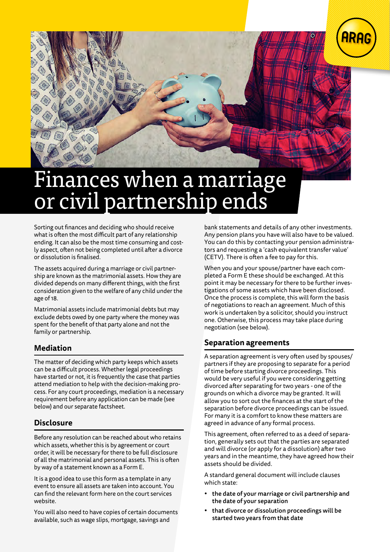

# nances when a marriage or civil partnership end

Sorting out finances and deciding who should receive what is often the most difficult part of any relationship ending. It can also be the most time consuming and costly aspect, often not being completed until after a divorce or dissolution is finalised.

The assets acquired during a marriage or civil partnership are known as the matrimonial assets. How they are divided depends on many different things, with the first consideration given to the welfare of any child under the age of 18.

Matrimonial assets include matrimonial debts but may exclude debts owed by one party where the money was spent for the benefit of that party alone and not the family or partnership.

## **Mediation**

The matter of deciding which party keeps which assets can be a difficult process. Whether legal proceedings have started or not, it is frequently the case that parties attend mediation to help with the decision-making process. For any court proceedings, mediation is a necessary requirement before any application can be made (see below) and our separate factsheet.

## **Disclosure**

Before any resolution can be reached about who retains which assets, whether this is by agreement or court order, it will be necessary for there to be full disclosure of all the matrimonial and personal assets. This is often by way of a statement known as a Form E.

It is a good idea to use this form as a template in any event to ensure all assets are taken into account. You can find the relevant form here on the court services website.

You will also need to have copies of certain documents available, such as wage slips, mortgage, savings and

bank statements and details of any other investments. Any pension plans you have will also have to be valued. You can do this by contacting your pension administrators and requesting a 'cash equivalent transfer value' (CETV). There is often a fee to pay for this.

When you and your spouse/partner have each completed a Form E these should be exchanged. At this point it may be necessary for there to be further investigations of some assets which have been disclosed. Once the process is complete, this will form the basis of negotiations to reach an agreement. Much of this work is undertaken by a solicitor, should you instruct one. Otherwise, this process may take place during negotiation (see below).

### **Separation agreements**

A separation agreement is very often used by spouses/ partners if they are proposing to separate for a period of time before starting divorce proceedings. This would be very useful if you were considering getting divorced after separating for two years - one of the grounds on which a divorce may be granted. It will allow you to sort out the finances at the start of the separation before divorce proceedings can be issued. For many it is a comfort to know these matters are agreed in advance of any formal process.

This agreement, often referred to as a deed of separation, generally sets out that the parties are separated and will divorce (or apply for a dissolution) after two years and in the meantime, they have agreed how their assets should be divided.

A standard general document will include clauses which state:

- the date of your marriage or civil partnership and the date of your separation
- that divorce or dissolution proceedings will be started two years from that date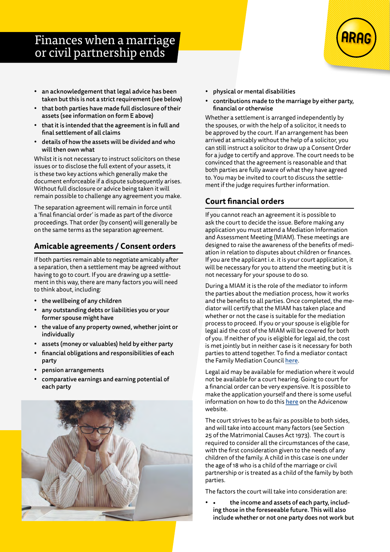# Finances when a marriage or civil partnership ends

- an acknowledgement that legal advice has been taken but this is not a strict requirement (see below)
- that both parties have made full disclosure of their assets (see information on form E above)
- that it is intended that the agreement is in full and final settlement of all claims
- details of how the assets will be divided and who will then own what

Whilst it is not necessary to instruct solicitors on these issues or to disclose the full extent of your assets, it is these two key actions which generally make the document enforceable if a dispute subsequently arises. Without full disclosure or advice being taken it will remain possible to challenge any agreement you make.

The separation agreement will remain in force until a 'final financial order' is made as part of the divorce proceedings. That order (by consent) will generally be on the same terms as the separation agreement.

# **Amicable agreements / Consent orders**

If both parties remain able to negotiate amicably after a separation, then a settlement may be agreed without having to go to court. If you are drawing up a settlement in this way, there are many factors you will need to think about, including:

- the wellbeing of any children
- any outstanding debts or liabilities you or your former spouse might have
- the value of any property owned, whether joint or individually
- assets (money or valuables) held by either party
- financial obligations and responsibilities of each party
- pension arrangements
- comparative earnings and earning potential of each party



- physical or mental disabilities
- contributions made to the marriage by either party, financial or otherwise

Whether a settlement is arranged independently by the spouses, or with the help of a solicitor, it needs to be approved by the court. If an arrangement has been arrived at amicably without the help of a solicitor, you can still instruct a solicitor to draw up a Consent Order for a judge to certify and approve. The court needs to be convinced that the agreement is reasonable and that both parties are fully aware of what they have agreed to. You may be invited to court to discuss the settlement if the judge requires further information.

# **Court financial orders**

If you cannot reach an agreement it is possible to ask the court to decide the issue. Before making any application you must attend a Mediation Information and Assessment Meeting (MIAM). These meetings are designed to raise the awareness of the benefits of mediation in relation to disputes about children or finances. If you are the applicant i.e. it is your court application, it will be necessary for you to attend the meeting but it is not necessary for your spouse to do so.

During a MIAM it is the role of the mediator to inform the parties about the mediation process, how it works and the benefits to all parties. Once completed, the mediator will certify that the MIAM has taken place and whether or not the case is suitable for the mediation process to proceed. If you or your spouse is eligible for legal aid the cost of the MIAM will be covered for both of you. If neither of you is eligible for legal aid, the cost is met jointly but in neither case is it necessary for both parties to attend together. To find a mediator contact the Family Mediation Council [here](https://www.familymediationcouncil.org.uk/).

Legal aid may be available for mediation where it would not be available for a court hearing. Going to court for a financial order can be very expensive. It is possible to make the application yourself and there is some useful information on how to do this [here](https://www.advicenow.org.uk/guides/apply-financial-order-without-help-lawyer) on the Advicenow website.

The court strives to be as fair as possible to both sides, and will take into account many factors (see Section 25 of the Matrimonial Causes Act 1973). The court is required to consider all the circumstances of the case, with the first consideration given to the needs of any children of the family. A child in this case is one under the age of 18 who is a child of the marriage or civil partnership or is treated as a child of the family by both parties.

The factors the court will take into consideration are:

the income and assets of each party, including those in the foreseeable future. This will also include whether or not one party does not work but

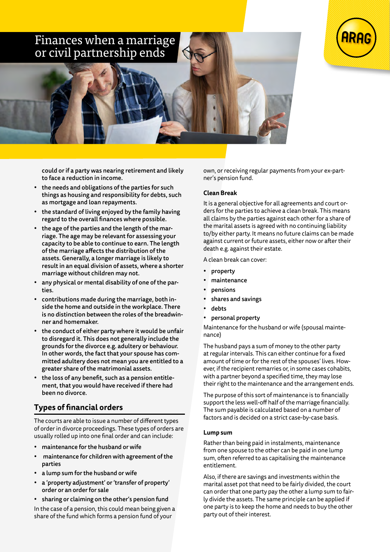# Finances when a marriage or civil partnership ends



could or if a party was nearing retirement and likely to face a reduction in income.

- the needs and obligations of the parties for such things as housing and responsibility for debts, such as mortgage and loan repayments.
- the standard of living enjoyed by the family having regard to the overall finances where possible.
- the age of the parties and the length of the marriage. The age may be relevant for assessing your capacity to be able to continue to earn. The length of the marriage affects the distribution of the assets. Generally, a longer marriage is likely to result in an equal division of assets, where a shorter marriage without children may not.
- any physical or mental disability of one of the parties.
- contributions made during the marriage, both inside the home and outside in the workplace. There is no distinction between the roles of the breadwinner and homemaker.
- the conduct of either party where it would be unfair to disregard it. This does not generally include the grounds for the divorce e.g. adultery or behaviour. In other words, the fact that your spouse has committed adultery does not mean you are entitled to a greater share of the matrimonial assets.
- the loss of any benefit, such as a pension entitlement, that you would have received if there had been no divorce.

## **Types of financial orders**

The courts are able to issue a number of different types of order in divorce proceedings. These types of orders are usually rolled up into one final order and can include:

- maintenance for the husband or wife
- maintenance for children with agreement of the parties
- a lump sum for the husband or wife
- a 'property adjustment' or 'transfer of property' order or an order for sale
- sharing or claiming on the other's pension fund

In the case of a pension, this could mean being given a share of the fund which forms a pension fund of your

own, or receiving regular payments from your ex-partner's pension fund.

#### **Clean Break**

It is a general objective for all agreements and court orders for the parties to achieve a clean break. This means all claims by the parties against each other for a share of the marital assets is agreed with no continuing liability to/by either party. It means no future claims can be made against current or future assets, either now or after their death e.g. against their estate.

A clean break can cover:

- property
- maintenance
- **pensions**
- shares and savings
- debts
- personal property

Maintenance for the husband or wife (spousal maintenance)

The husband pays a sum of money to the other party at regular intervals. This can either continue for a fixed amount of time or for the rest of the spouses' lives. However, if the recipient remarries or, in some cases cohabits, with a partner beyond a specified time, they may lose their right to the maintenance and the arrangement ends.

The purpose of this sort of maintenance is to financially support the less well-off half of the marriage financially. The sum payable is calculated based on a number of factors and is decided on a strict case-by-case basis.

#### **Lump sum**

Rather than being paid in instalments, maintenance from one spouse to the other can be paid in one lump sum, often referred to as capitalising the maintenance entitlement.

Also, if there are savings and investments within the marital asset pot that need to be fairly divided, the court can order that one party pay the other a lump sum to fairly divide the assets. The same principle can be applied if one party is to keep the home and needs to buy the other party out of their interest.